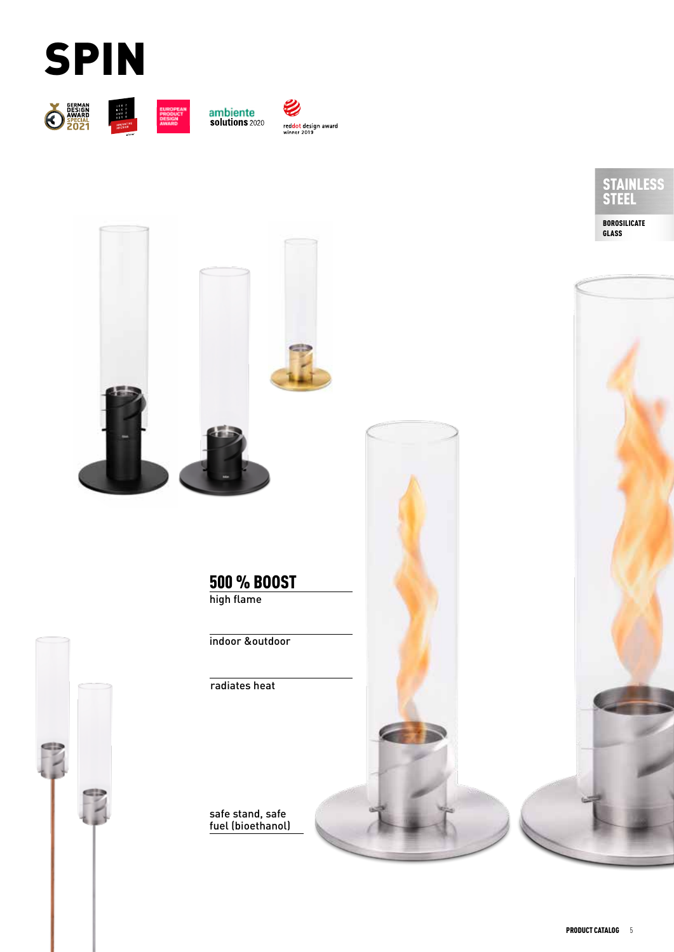







red<mark>dot</mark> design award<br>winner 2019





indoor &outdoor

radiates heat

safe stand, safe fuel (bioethanol)



BOROSILICATE GLASS

STAINLESS STEEL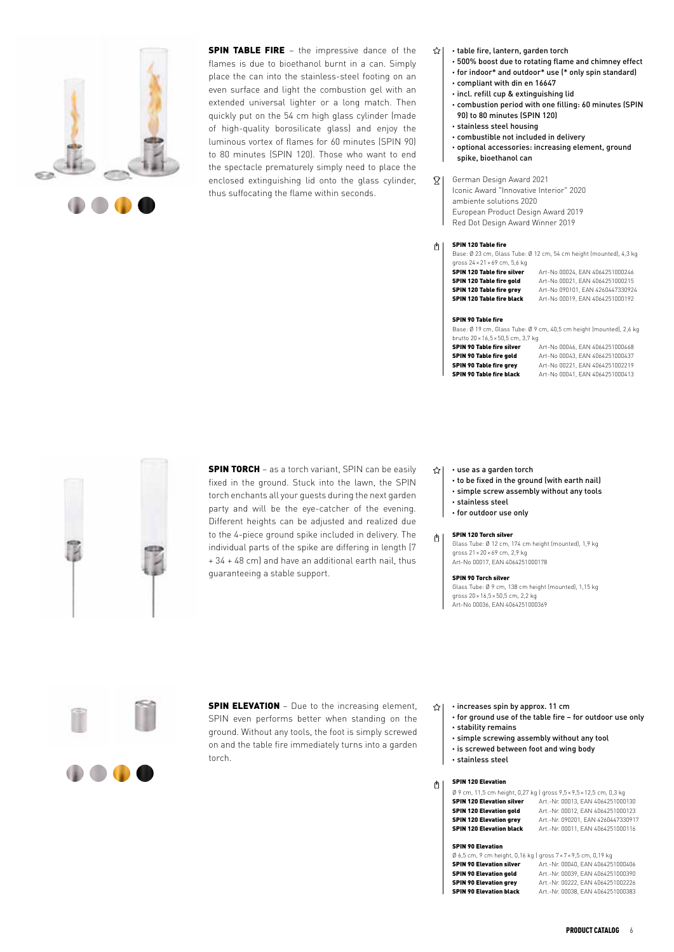

**SPIN TABLE FIRE** – the impressive dance of the flames is due to bioethanol burnt in a can. Simply place the can into the stainless-steel footing on an even surface and light the combustion gel with an extended universal lighter or a long match. Then quickly put on the 54 cm high glass cylinder (made of high-quality borosilicate glass) and enjoy the luminous vortex of flames for 60 minutes (SPIN 90) to 80 minutes (SPIN 120). Those who want to end the spectacle prematurely simply need to place the enclosed extinguishing lid onto the glass cylinder, thus suffocating the flame within seconds.

- · table fire, lantern, garden torch 소1
	- · 500% boost due to rotating flame and chimney effect
	- · for indoor\* and outdoor\* use (\* only spin standard)
	- · compliant with din en 16647
	- · incl. refill cup & extinguishing lid
	- · combustion period with one filling: 60 minutes (SPIN 90) to 80 minutes (SPIN 120)
	- · stainless steel housing
	- · combustible not included in delivery

· optional accessories: increasing element, ground spike, bioethanol can

German Design Award 2021  $\overline{2}$ Iconic Award "Innovative Interior" 2020 ambiente solutions 2020 European Product Design Award 2019 Red Dot Design Award Winner 2019

## SPIN 120 Table fire  $\circ$

Base: Ø 23 cm, Glass Tube: Ø 12 cm, 54 cm height (mounted), 4,3 kg gross 24×21×69 cm, 5,6 kg  $\overline{\text{CDIN 120} \text{ Table}}$  fire silver  $\overline{\text{Art-Mo}}$  00024, EAN 4044251000244

**SPIN 120 Table fire gold**  $Art-No 00021$ , EAN 4064251000215<br>**SPIN 120 Table fire grey**  $Art-No 090101$  FAN 4260447330924 **SPIN 120 Table fire grey** Art-No 090101, EAN 4260447330924<br>**SPIN 120 Table fire black** Art-No 00019, EAN 4064251000192

Art-No 00019, EAN 4064251000192

# SPIN 90 Table fire

Base: Ø 19 cm, Glass Tube: Ø 9 cm, 40,5 cm height (mounted), 2,6 kg brutto 20×16,5×50,5 cm, 3,7 kg

| SPIN 90 Table fire silver      | Art-No 00046, EAN 4064251000468 |
|--------------------------------|---------------------------------|
| SPIN 90 Table fire gold        | Art-No 00043, EAN 4064251000437 |
| <b>SPIN 90 Table fire grev</b> | Art-No 00221, EAN 4064251002219 |
| SPIN 90 Table fire black       | Art-No 00041, EAN 4064251000413 |



**SPIN TORCH** – as a torch variant, SPIN can be easily fixed in the ground. Stuck into the lawn, the SPIN torch enchants all your guests during the next garden party and will be the eye-catcher of the evening. Different heights can be adjusted and realized due to the 4-piece ground spike included in delivery. The individual parts of the spike are differing in length (7 + 34 + 48 cm) and have an additional earth nail, thus guaranteeing a stable support.

#### · use as a garden torch  $\leftrightarrow$

· to be fixed in the ground (with earth nail)

- · simple screw assembly without any tools
- · stainless steel
- · for outdoor use only

## SPIN 120 Torch silver  $\mathbb{O}$

Glass Tube: Ø 12 cm, 174 cm height (mounted), 1,9 kg gross 21×20×69 cm, 2,9 kg Art-No 00017, EAN 4064251000178

# SPIN 90 Torch silver

Glass Tube: Ø 9 cm, 138 cm height (mounted), 1,15 kg gross 20×16,5×50,5 cm, 2,2 kg Art-No 00036, EAN 4064251000369

**SPIN ELEVATION** - Due to the increasing element, SPIN even performs better when standing on the ground. Without any tools, the foot is simply screwed on and the table fire immediately turns into a garden torch.

- · increases spin by approx. 11 cm ☆ $|$ 
	- · for ground use of the table fire for outdoor use only · stability remains
	- · simple screwing assembly without any tool
	- · is screwed between foot and wing body
	- · stainless steel

## SPIN 120 Elevation ₫

|                                  | Ø 9 cm, 11,5 cm height, 0,27 kg   gross 9,5 × 9,5 × 12,5 cm, 0,3 kg |
|----------------------------------|---------------------------------------------------------------------|
| <b>SPIN 120 Elevation silver</b> | Art.-Nr. 00013. EAN 4064251000130                                   |
| <b>SPIN 120 Elevation gold</b>   | Art.-Nr. 00012. EAN 4064251000123                                   |
| <b>SPIN 120 Elevation grev</b>   | Art.-Nr. 090201. EAN 4260447330917                                  |
| <b>SPIN 120 Elevation black</b>  | Art.-Nr. 00011. EAN 4064251000116                                   |
|                                  |                                                                     |

# SPIN 90 Elevation

| $\emptyset$ 6.5 cm, 9 cm height, 0,16 kg   gross $7 \times 7 \times 9.5$ cm, 0,19 kg |                                   |
|--------------------------------------------------------------------------------------|-----------------------------------|
| <b>SPIN 90 Elevation silver</b>                                                      | Art.-Nr. 00040. EAN 4064251000406 |
| <b>SPIN 90 Elevation gold</b>                                                        | Art.-Nr. 00039. EAN 4064251000390 |
| <b>SPIN 90 Elevation grev</b>                                                        | Art.-Nr. 00222. EAN 4064251002226 |
| <b>SPIN 90 Elevation black</b>                                                       | Art.-Nr. 00038. EAN 4064251000383 |
|                                                                                      |                                   |